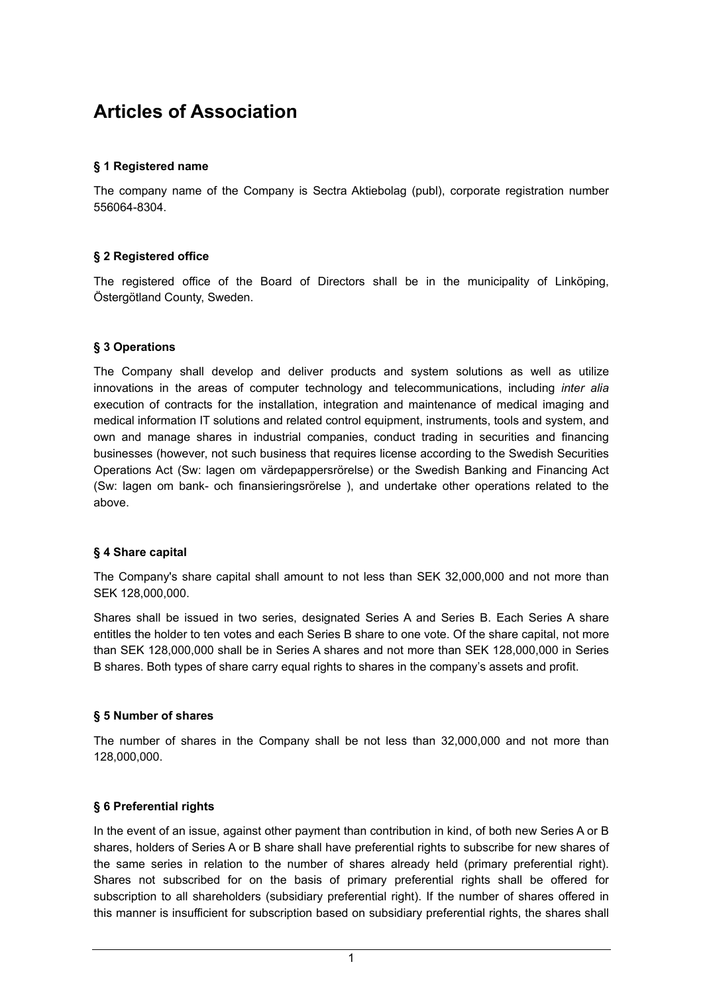# **Articles of Association**

## **§ 1 Registered name**

The company name of the Company is Sectra Aktiebolag (publ), corporate registration number 556064-8304.

## **§ 2 Registered office**

The registered office of the Board of Directors shall be in the municipality of Linköping, Östergötland County, Sweden.

## **§ 3 Operations**

The Company shall develop and deliver products and system solutions as well as utilize innovations in the areas of computer technology and telecommunications, including *inter alia*  execution of contracts for the installation, integration and maintenance of medical imaging and medical information IT solutions and related control equipment, instruments, tools and system, and own and manage shares in industrial companies, conduct trading in securities and financing businesses (however, not such business that requires license according to the Swedish Securities Operations Act (Sw: lagen om värdepappersrörelse) or the Swedish Banking and Financing Act (Sw: lagen om bank- och finansieringsrörelse ), and undertake other operations related to the above.

### **§ 4 Share capital**

The Company's share capital shall amount to not less than SEK 32,000,000 and not more than SEK 128,000,000.

Shares shall be issued in two series, designated Series A and Series B. Each Series A share entitles the holder to ten votes and each Series B share to one vote. Of the share capital, not more than SEK 128,000,000 shall be in Series A shares and not more than SEK 128,000,000 in Series B shares. Both types of share carry equal rights to shares in the company's assets and profit.

### **§ 5 Number of shares**

The number of shares in the Company shall be not less than 32,000,000 and not more than 128,000,000.

### **§ 6 Preferential rights**

In the event of an issue, against other payment than contribution in kind, of both new Series A or B shares, holders of Series A or B share shall have preferential rights to subscribe for new shares of the same series in relation to the number of shares already held (primary preferential right). Shares not subscribed for on the basis of primary preferential rights shall be offered for subscription to all shareholders (subsidiary preferential right). If the number of shares offered in this manner is insufficient for subscription based on subsidiary preferential rights, the shares shall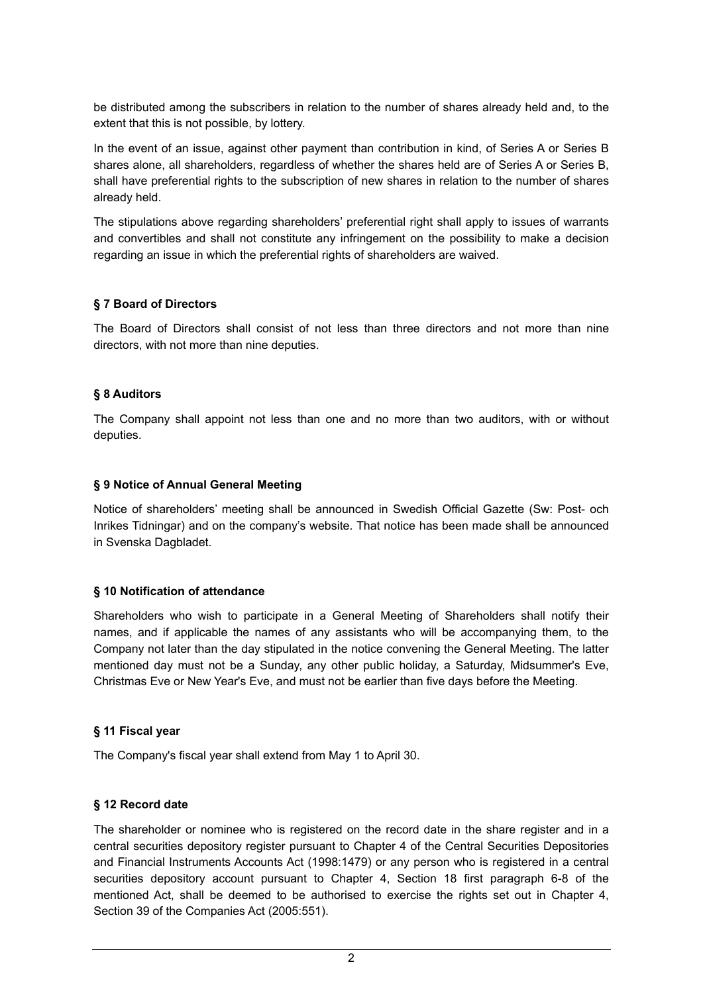be distributed among the subscribers in relation to the number of shares already held and, to the extent that this is not possible, by lottery.

In the event of an issue, against other payment than contribution in kind, of Series A or Series B shares alone, all shareholders, regardless of whether the shares held are of Series A or Series B, shall have preferential rights to the subscription of new shares in relation to the number of shares already held.

The stipulations above regarding shareholders' preferential right shall apply to issues of warrants and convertibles and shall not constitute any infringement on the possibility to make a decision regarding an issue in which the preferential rights of shareholders are waived.

## **§ 7 Board of Directors**

The Board of Directors shall consist of not less than three directors and not more than nine directors, with not more than nine deputies.

## **§ 8 Auditors**

The Company shall appoint not less than one and no more than two auditors, with or without deputies.

## **§ 9 Notice of Annual General Meeting**

Notice of shareholders' meeting shall be announced in Swedish Official Gazette (Sw: Post- och Inrikes Tidningar) and on the company's website. That notice has been made shall be announced in Svenska Dagbladet.

### **§ 10 Notification of attendance**

Shareholders who wish to participate in a General Meeting of Shareholders shall notify their names, and if applicable the names of any assistants who will be accompanying them, to the Company not later than the day stipulated in the notice convening the General Meeting. The latter mentioned day must not be a Sunday, any other public holiday, a Saturday, Midsummer's Eve, Christmas Eve or New Year's Eve, and must not be earlier than five days before the Meeting.

### **§ 11 Fiscal year**

The Company's fiscal year shall extend from May 1 to April 30.

### **§ 12 Record date**

The shareholder or nominee who is registered on the record date in the share register and in a central securities depository register pursuant to Chapter 4 of the Central Securities Depositories and Financial Instruments Accounts Act (1998:1479) or any person who is registered in a central securities depository account pursuant to Chapter 4, Section 18 first paragraph 6-8 of the mentioned Act, shall be deemed to be authorised to exercise the rights set out in Chapter 4, Section 39 of the Companies Act (2005:551).